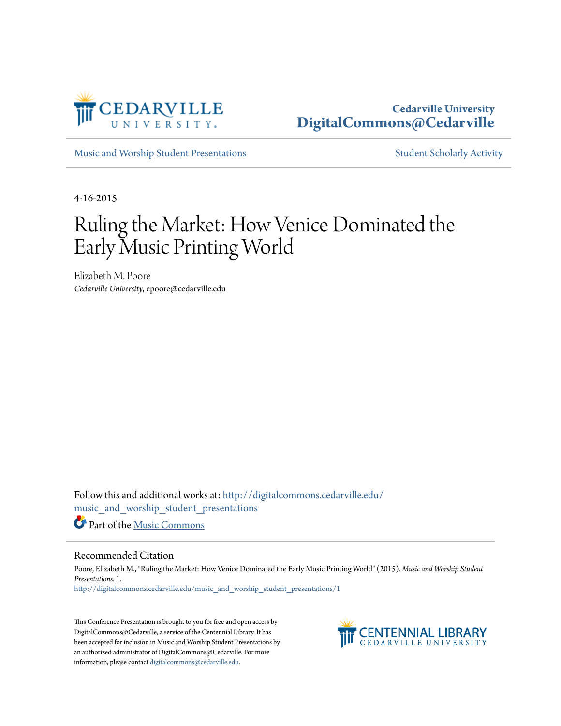

## **Cedarville University [DigitalCommons@Cedarville](http://digitalcommons.cedarville.edu?utm_source=digitalcommons.cedarville.edu%2Fmusic_and_worship_student_presentations%2F1&utm_medium=PDF&utm_campaign=PDFCoverPages)**

[Music and Worship Student Presentations](http://digitalcommons.cedarville.edu/music_and_worship_student_presentations?utm_source=digitalcommons.cedarville.edu%2Fmusic_and_worship_student_presentations%2F1&utm_medium=PDF&utm_campaign=PDFCoverPages) [Student Scholarly Activity](http://digitalcommons.cedarville.edu/music_student_scholarly_activity?utm_source=digitalcommons.cedarville.edu%2Fmusic_and_worship_student_presentations%2F1&utm_medium=PDF&utm_campaign=PDFCoverPages)

4-16-2015

## Ruling the Market: How Venice Dominated the Early Music Printing World

Elizabeth M. Poore *Cedarville University*, epoore@cedarville.edu

Follow this and additional works at: [http://digitalcommons.cedarville.edu/](http://digitalcommons.cedarville.edu/music_and_worship_student_presentations?utm_source=digitalcommons.cedarville.edu%2Fmusic_and_worship_student_presentations%2F1&utm_medium=PDF&utm_campaign=PDFCoverPages) [music\\_and\\_worship\\_student\\_presentations](http://digitalcommons.cedarville.edu/music_and_worship_student_presentations?utm_source=digitalcommons.cedarville.edu%2Fmusic_and_worship_student_presentations%2F1&utm_medium=PDF&utm_campaign=PDFCoverPages) Part of the [Music Commons](http://network.bepress.com/hgg/discipline/518?utm_source=digitalcommons.cedarville.edu%2Fmusic_and_worship_student_presentations%2F1&utm_medium=PDF&utm_campaign=PDFCoverPages)

## Recommended Citation

Poore, Elizabeth M., "Ruling the Market: How Venice Dominated the Early Music Printing World" (2015). *Music and Worship Student Presentations*. 1. [http://digitalcommons.cedarville.edu/music\\_and\\_worship\\_student\\_presentations/1](http://digitalcommons.cedarville.edu/music_and_worship_student_presentations/1?utm_source=digitalcommons.cedarville.edu%2Fmusic_and_worship_student_presentations%2F1&utm_medium=PDF&utm_campaign=PDFCoverPages)

This Conference Presentation is brought to you for free and open access by DigitalCommons@Cedarville, a service of the Centennial Library. It has been accepted for inclusion in Music and Worship Student Presentations by an authorized administrator of DigitalCommons@Cedarville. For more information, please contact [digitalcommons@cedarville.edu.](mailto:digitalcommons@cedarville.edu)

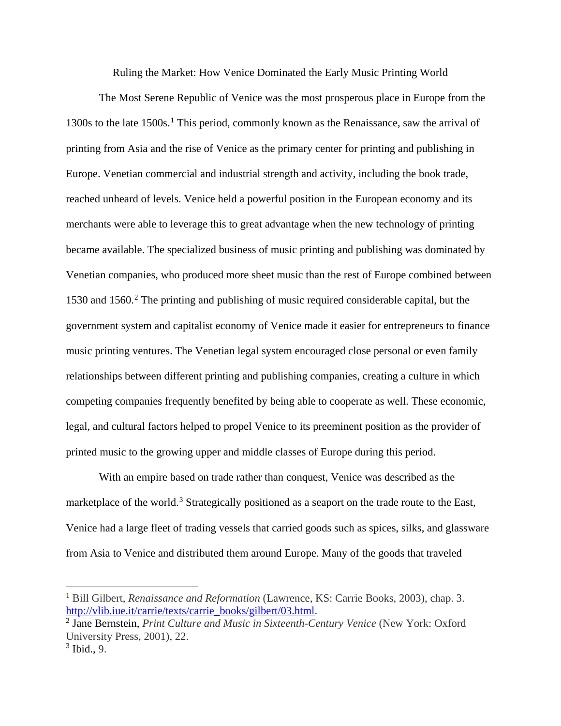Ruling the Market: How Venice Dominated the Early Music Printing World

The Most Serene Republic of Venice was the most prosperous place in Europe from the [1](#page-1-0)300s to the late  $1500s$ .<sup>1</sup> This period, commonly known as the Renaissance, saw the arrival of printing from Asia and the rise of Venice as the primary center for printing and publishing in Europe. Venetian commercial and industrial strength and activity, including the book trade, reached unheard of levels. Venice held a powerful position in the European economy and its merchants were able to leverage this to great advantage when the new technology of printing became available. The specialized business of music printing and publishing was dominated by Venetian companies, who produced more sheet music than the rest of Europe combined between 1530 and 1560.[2](#page-1-1) The printing and publishing of music required considerable capital, but the government system and capitalist economy of Venice made it easier for entrepreneurs to finance music printing ventures. The Venetian legal system encouraged close personal or even family relationships between different printing and publishing companies, creating a culture in which competing companies frequently benefited by being able to cooperate as well. These economic, legal, and cultural factors helped to propel Venice to its preeminent position as the provider of printed music to the growing upper and middle classes of Europe during this period.

With an empire based on trade rather than conquest, Venice was described as the marketplace of the world.<sup>[3](#page-1-2)</sup> Strategically positioned as a seaport on the trade route to the East, Venice had a large fleet of trading vessels that carried goods such as spices, silks, and glassware from Asia to Venice and distributed them around Europe. Many of the goods that traveled

<span id="page-1-0"></span><sup>1</sup> Bill Gilbert, *Renaissance and Reformation* (Lawrence, KS: Carrie Books, 2003), chap. 3. [http://vlib.iue.it/carrie/texts/carrie\\_books/gilbert/03.html.](http://vlib.iue.it/carrie/texts/carrie_books/gilbert/03.html)  $\overline{\phantom{a}}$ 

<span id="page-1-1"></span><sup>2</sup> Jane Bernstein, *Print Culture and Music in Sixteenth-Century Venice* (New York: Oxford University Press, 2001), 22.

<span id="page-1-2"></span> $3$  Ibid., 9.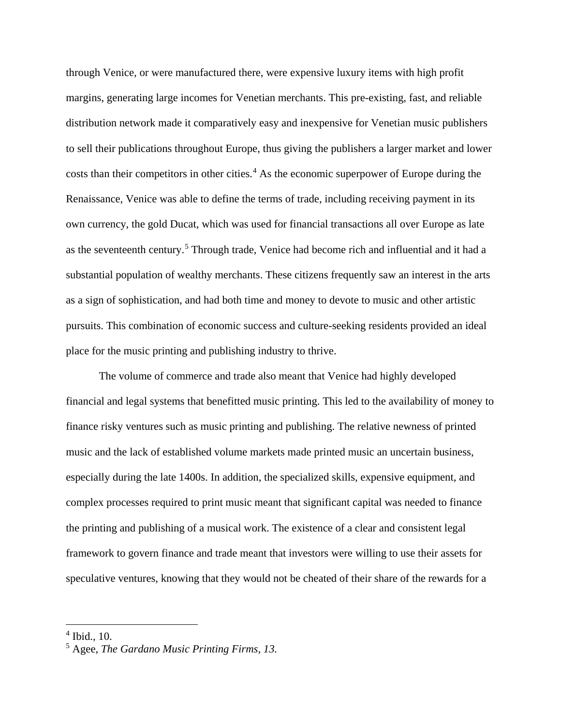through Venice, or were manufactured there, were expensive luxury items with high profit margins, generating large incomes for Venetian merchants. This pre-existing, fast, and reliable distribution network made it comparatively easy and inexpensive for Venetian music publishers to sell their publications throughout Europe, thus giving the publishers a larger market and lower costs than their competitors in other cities.<sup>[4](#page-2-0)</sup> As the economic superpower of Europe during the Renaissance, Venice was able to define the terms of trade, including receiving payment in its own currency, the gold Ducat, which was used for financial transactions all over Europe as late as the seventeenth century. [5](#page-2-1) Through trade, Venice had become rich and influential and it had a substantial population of wealthy merchants. These citizens frequently saw an interest in the arts as a sign of sophistication, and had both time and money to devote to music and other artistic pursuits. This combination of economic success and culture-seeking residents provided an ideal place for the music printing and publishing industry to thrive.

The volume of commerce and trade also meant that Venice had highly developed financial and legal systems that benefitted music printing. This led to the availability of money to finance risky ventures such as music printing and publishing. The relative newness of printed music and the lack of established volume markets made printed music an uncertain business, especially during the late 1400s. In addition, the specialized skills, expensive equipment, and complex processes required to print music meant that significant capital was needed to finance the printing and publishing of a musical work. The existence of a clear and consistent legal framework to govern finance and trade meant that investors were willing to use their assets for speculative ventures, knowing that they would not be cheated of their share of the rewards for a

<sup>4</sup> Ibid.*,* 10.  $\overline{\phantom{a}}$ 

<span id="page-2-1"></span><span id="page-2-0"></span><sup>5</sup> Agee, *The Gardano Music Printing Firms, 13.*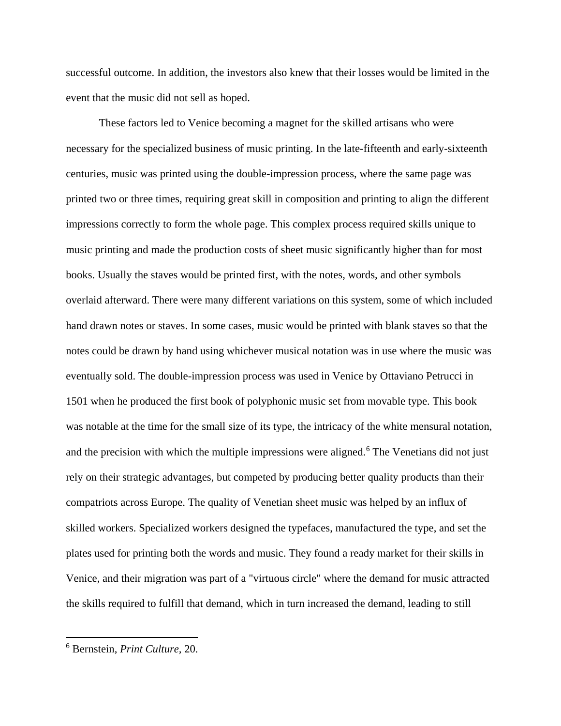successful outcome. In addition, the investors also knew that their losses would be limited in the event that the music did not sell as hoped.

These factors led to Venice becoming a magnet for the skilled artisans who were necessary for the specialized business of music printing. In the late-fifteenth and early-sixteenth centuries, music was printed using the double-impression process, where the same page was printed two or three times, requiring great skill in composition and printing to align the different impressions correctly to form the whole page. This complex process required skills unique to music printing and made the production costs of sheet music significantly higher than for most books. Usually the staves would be printed first, with the notes, words, and other symbols overlaid afterward. There were many different variations on this system, some of which included hand drawn notes or staves. In some cases, music would be printed with blank staves so that the notes could be drawn by hand using whichever musical notation was in use where the music was eventually sold. The double-impression process was used in Venice by Ottaviano Petrucci in 1501 when he produced the first book of polyphonic music set from movable type. This book was notable at the time for the small size of its type, the intricacy of the white mensural notation, and the precision with which the multiple impressions were aligned.<sup>[6](#page-3-0)</sup> The Venetians did not just rely on their strategic advantages, but competed by producing better quality products than their compatriots across Europe. The quality of Venetian sheet music was helped by an influx of skilled workers. Specialized workers designed the typefaces, manufactured the type, and set the plates used for printing both the words and music. They found a ready market for their skills in Venice, and their migration was part of a "virtuous circle" where the demand for music attracted the skills required to fulfill that demand, which in turn increased the demand, leading to still

<span id="page-3-0"></span><sup>6</sup> Bernstein, *Print Culture,* 20.  $\overline{\phantom{a}}$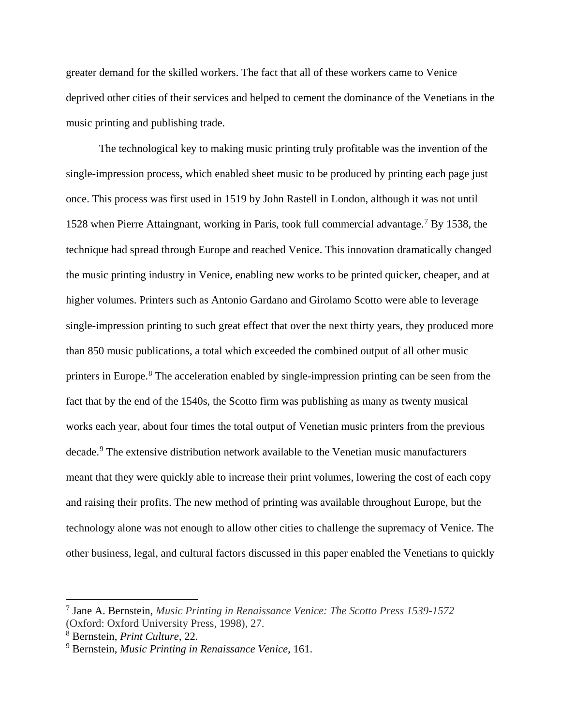greater demand for the skilled workers. The fact that all of these workers came to Venice deprived other cities of their services and helped to cement the dominance of the Venetians in the music printing and publishing trade.

The technological key to making music printing truly profitable was the invention of the single-impression process, which enabled sheet music to be produced by printing each page just once. This process was first used in 1519 by John Rastell in London, although it was not until 1528 when Pierre Attaingnant, working in Paris, took full commercial advantage. [7](#page-4-0) By 1538, the technique had spread through Europe and reached Venice. This innovation dramatically changed the music printing industry in Venice, enabling new works to be printed quicker, cheaper, and at higher volumes. Printers such as Antonio Gardano and Girolamo Scotto were able to leverage single-impression printing to such great effect that over the next thirty years, they produced more than 850 music publications, a total which exceeded the combined output of all other music printers in Europe.<sup>[8](#page-4-1)</sup> The acceleration enabled by single-impression printing can be seen from the fact that by the end of the 1540s, the Scotto firm was publishing as many as twenty musical works each year, about four times the total output of Venetian music printers from the previous decade. [9](#page-4-2) The extensive distribution network available to the Venetian music manufacturers meant that they were quickly able to increase their print volumes, lowering the cost of each copy and raising their profits. The new method of printing was available throughout Europe, but the technology alone was not enough to allow other cities to challenge the supremacy of Venice. The other business, legal, and cultural factors discussed in this paper enabled the Venetians to quickly

<span id="page-4-0"></span><sup>7</sup> Jane A. Bernstein, *Music Printing in Renaissance Venice: The Scotto Press 1539-1572*  (Oxford: Oxford University Press, 1998), 27. j

<span id="page-4-1"></span><sup>8</sup> Bernstein, *Print Culture,* 22.

<span id="page-4-2"></span><sup>9</sup> Bernstein, *Music Printing in Renaissance Venice,* 161.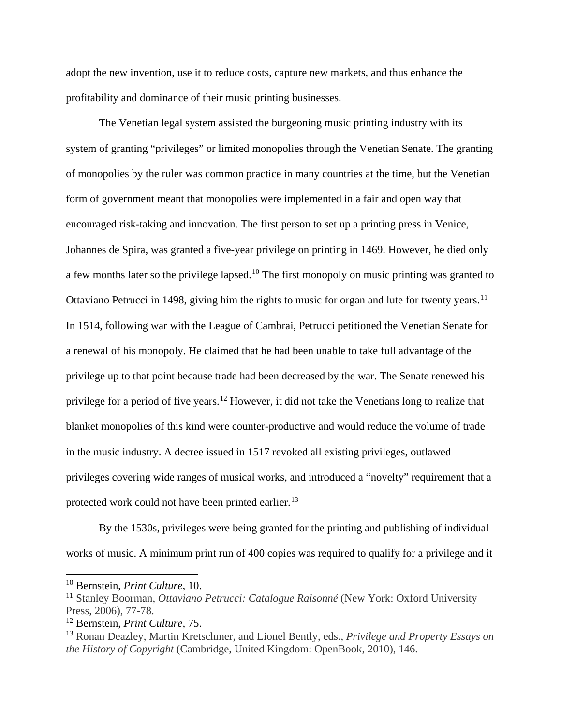adopt the new invention, use it to reduce costs, capture new markets, and thus enhance the profitability and dominance of their music printing businesses.

The Venetian legal system assisted the burgeoning music printing industry with its system of granting "privileges" or limited monopolies through the Venetian Senate. The granting of monopolies by the ruler was common practice in many countries at the time, but the Venetian form of government meant that monopolies were implemented in a fair and open way that encouraged risk-taking and innovation. The first person to set up a printing press in Venice, Johannes de Spira, was granted a five-year privilege on printing in 1469. However, he died only a few months later so the privilege lapsed.<sup>[10](#page-5-0)</sup> The first monopoly on music printing was granted to Ottaviano Petrucci in 1498, giving him the rights to music for organ and lute for twenty years.<sup>[11](#page-5-1)</sup> In 1514, following war with the League of Cambrai, Petrucci petitioned the Venetian Senate for a renewal of his monopoly. He claimed that he had been unable to take full advantage of the privilege up to that point because trade had been decreased by the war. The Senate renewed his privilege for a period of five years.[12](#page-5-2) However, it did not take the Venetians long to realize that blanket monopolies of this kind were counter-productive and would reduce the volume of trade in the music industry. A decree issued in 1517 revoked all existing privileges, outlawed privileges covering wide ranges of musical works, and introduced a "novelty" requirement that a protected work could not have been printed earlier.<sup>[13](#page-5-3)</sup>

By the 1530s, privileges were being granted for the printing and publishing of individual works of music. A minimum print run of 400 copies was required to qualify for a privilege and it

<span id="page-5-0"></span><sup>10</sup> Bernstein, *Print Culture,* 10.  $\overline{\phantom{a}}$ 

<span id="page-5-1"></span><sup>11</sup> Stanley Boorman, *Ottaviano Petrucci: Catalogue Raisonné* (New York: Oxford University Press, 2006), 77-78.

<span id="page-5-2"></span><sup>12</sup> Bernstein, *Print Culture,* 75.

<span id="page-5-3"></span><sup>13</sup> Ronan Deazley, Martin Kretschmer, and Lionel Bently, eds., *Privilege and Property Essays on the History of Copyright* (Cambridge, United Kingdom: OpenBook, 2010), 146.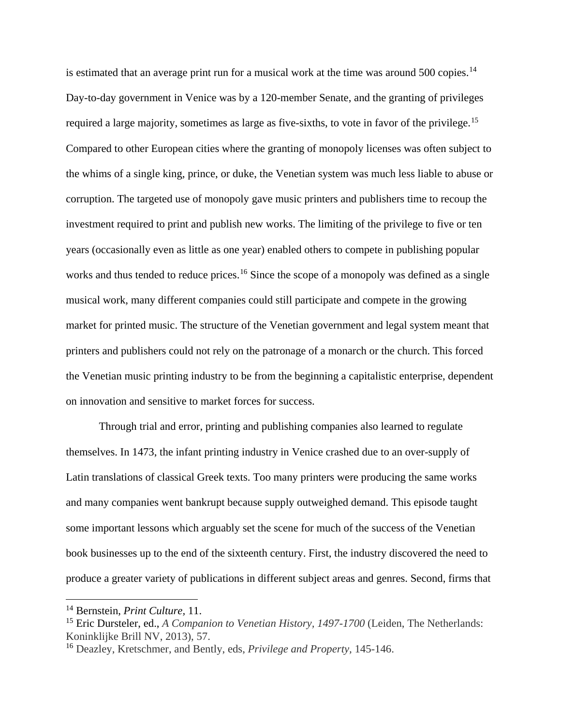is estimated that an average print run for a musical work at the time was around  $500$  copies.<sup>[14](#page-6-0)</sup> Day-to-day government in Venice was by a 120-member Senate, and the granting of privileges required a large majority, sometimes as large as five-sixths, to vote in favor of the privilege.<sup>[15](#page-6-1)</sup> Compared to other European cities where the granting of monopoly licenses was often subject to the whims of a single king, prince, or duke, the Venetian system was much less liable to abuse or corruption. The targeted use of monopoly gave music printers and publishers time to recoup the investment required to print and publish new works. The limiting of the privilege to five or ten years (occasionally even as little as one year) enabled others to compete in publishing popular works and thus tended to reduce prices.<sup>[16](#page-6-2)</sup> Since the scope of a monopoly was defined as a single musical work, many different companies could still participate and compete in the growing market for printed music. The structure of the Venetian government and legal system meant that printers and publishers could not rely on the patronage of a monarch or the church. This forced the Venetian music printing industry to be from the beginning a capitalistic enterprise, dependent on innovation and sensitive to market forces for success.

Through trial and error, printing and publishing companies also learned to regulate themselves. In 1473, the infant printing industry in Venice crashed due to an over-supply of Latin translations of classical Greek texts. Too many printers were producing the same works and many companies went bankrupt because supply outweighed demand. This episode taught some important lessons which arguably set the scene for much of the success of the Venetian book businesses up to the end of the sixteenth century. First, the industry discovered the need to produce a greater variety of publications in different subject areas and genres. Second, firms that

<span id="page-6-0"></span><sup>14</sup> Bernstein, *Print Culture,* 11.  $\overline{\phantom{a}}$ 

<span id="page-6-1"></span><sup>15</sup> Eric Dursteler, ed., *A Companion to Venetian History, 1497-1700* (Leiden, The Netherlands: Koninklijke Brill NV, 2013), 57.

<span id="page-6-2"></span><sup>16</sup> Deazley, Kretschmer, and Bently, eds, *Privilege and Property,* 145-146.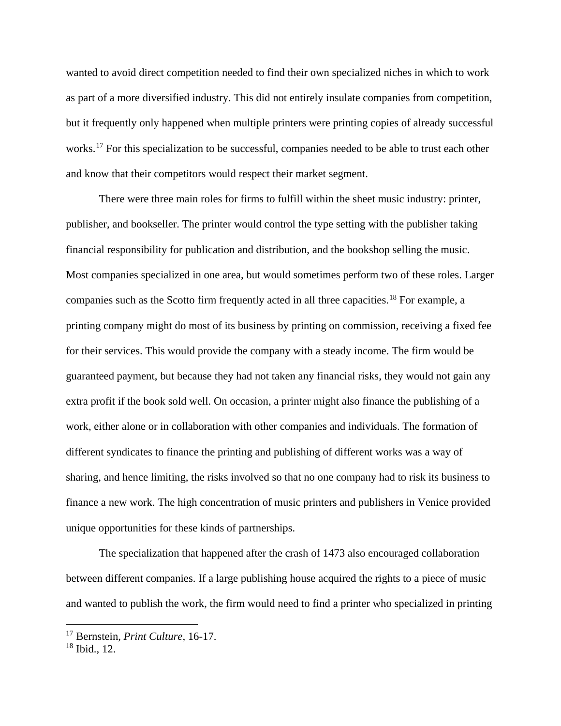wanted to avoid direct competition needed to find their own specialized niches in which to work as part of a more diversified industry. This did not entirely insulate companies from competition, but it frequently only happened when multiple printers were printing copies of already successful works.<sup>[17](#page-7-0)</sup> For this specialization to be successful, companies needed to be able to trust each other and know that their competitors would respect their market segment.

There were three main roles for firms to fulfill within the sheet music industry: printer, publisher, and bookseller. The printer would control the type setting with the publisher taking financial responsibility for publication and distribution, and the bookshop selling the music. Most companies specialized in one area, but would sometimes perform two of these roles. Larger companies such as the Scotto firm frequently acted in all three capacities.[18](#page-7-1) For example, a printing company might do most of its business by printing on commission, receiving a fixed fee for their services. This would provide the company with a steady income. The firm would be guaranteed payment, but because they had not taken any financial risks, they would not gain any extra profit if the book sold well. On occasion, a printer might also finance the publishing of a work, either alone or in collaboration with other companies and individuals. The formation of different syndicates to finance the printing and publishing of different works was a way of sharing, and hence limiting, the risks involved so that no one company had to risk its business to finance a new work. The high concentration of music printers and publishers in Venice provided unique opportunities for these kinds of partnerships.

The specialization that happened after the crash of 1473 also encouraged collaboration between different companies. If a large publishing house acquired the rights to a piece of music and wanted to publish the work, the firm would need to find a printer who specialized in printing

<span id="page-7-0"></span><sup>17</sup> Bernstein, *Print Culture,* 16-17.  $\overline{\phantom{a}}$ 

<span id="page-7-1"></span><sup>18</sup> Ibid.*,* 12.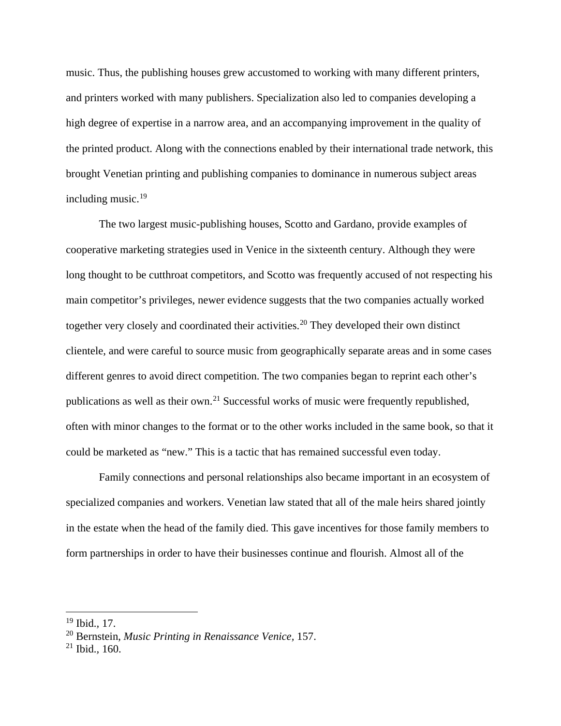music. Thus, the publishing houses grew accustomed to working with many different printers, and printers worked with many publishers. Specialization also led to companies developing a high degree of expertise in a narrow area, and an accompanying improvement in the quality of the printed product. Along with the connections enabled by their international trade network, this brought Venetian printing and publishing companies to dominance in numerous subject areas including music.[19](#page-8-0)

The two largest music-publishing houses, Scotto and Gardano, provide examples of cooperative marketing strategies used in Venice in the sixteenth century. Although they were long thought to be cutthroat competitors, and Scotto was frequently accused of not respecting his main competitor's privileges, newer evidence suggests that the two companies actually worked together very closely and coordinated their activities.<sup>[20](#page-8-1)</sup> They developed their own distinct clientele, and were careful to source music from geographically separate areas and in some cases different genres to avoid direct competition. The two companies began to reprint each other's publications as well as their own.<sup>[21](#page-8-2)</sup> Successful works of music were frequently republished, often with minor changes to the format or to the other works included in the same book, so that it could be marketed as "new." This is a tactic that has remained successful even today.

Family connections and personal relationships also became important in an ecosystem of specialized companies and workers. Venetian law stated that all of the male heirs shared jointly in the estate when the head of the family died. This gave incentives for those family members to form partnerships in order to have their businesses continue and flourish. Almost all of the

<sup>19</sup> Ibid.*,* 17.  $\overline{\phantom{a}}$ 

<span id="page-8-1"></span><span id="page-8-0"></span><sup>20</sup> Bernstein, *Music Printing in Renaissance Venice,* 157.

<span id="page-8-2"></span><sup>21</sup> Ibid.*,* 160.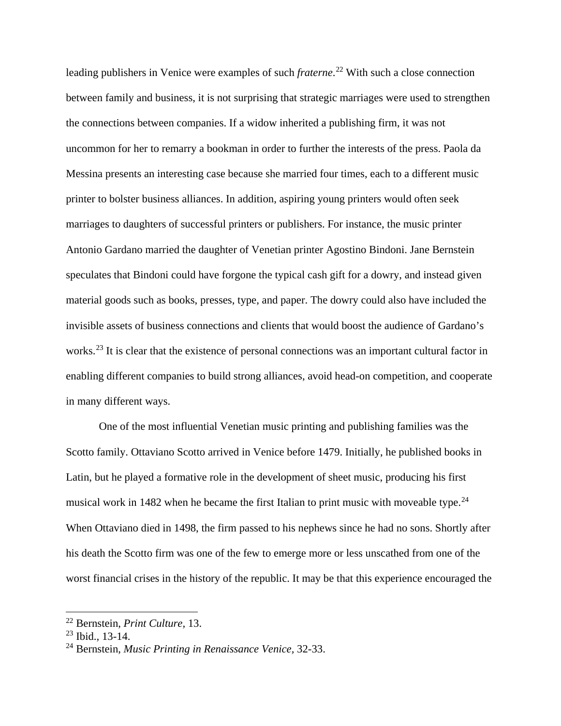leading publishers in Venice were examples of such *fraterne*. [22](#page-9-0) With such a close connection between family and business, it is not surprising that strategic marriages were used to strengthen the connections between companies. If a widow inherited a publishing firm, it was not uncommon for her to remarry a bookman in order to further the interests of the press. Paola da Messina presents an interesting case because she married four times, each to a different music printer to bolster business alliances. In addition, aspiring young printers would often seek marriages to daughters of successful printers or publishers. For instance, the music printer Antonio Gardano married the daughter of Venetian printer Agostino Bindoni. Jane Bernstein speculates that Bindoni could have forgone the typical cash gift for a dowry, and instead given material goods such as books, presses, type, and paper. The dowry could also have included the invisible assets of business connections and clients that would boost the audience of Gardano's works.<sup>[23](#page-9-1)</sup> It is clear that the existence of personal connections was an important cultural factor in enabling different companies to build strong alliances, avoid head-on competition, and cooperate in many different ways.

One of the most influential Venetian music printing and publishing families was the Scotto family. Ottaviano Scotto arrived in Venice before 1479. Initially, he published books in Latin, but he played a formative role in the development of sheet music, producing his first musical work in 1482 when he became the first Italian to print music with moveable type.<sup>[24](#page-9-2)</sup> When Ottaviano died in 1498, the firm passed to his nephews since he had no sons. Shortly after his death the Scotto firm was one of the few to emerge more or less unscathed from one of the worst financial crises in the history of the republic. It may be that this experience encouraged the

<span id="page-9-0"></span><sup>22</sup> Bernstein, *Print Culture,* 13.  $\overline{a}$ 

<span id="page-9-1"></span><sup>23</sup> Ibid.*,* 13-14.

<span id="page-9-2"></span><sup>24</sup> Bernstein, *Music Printing in Renaissance Venice,* 32-33.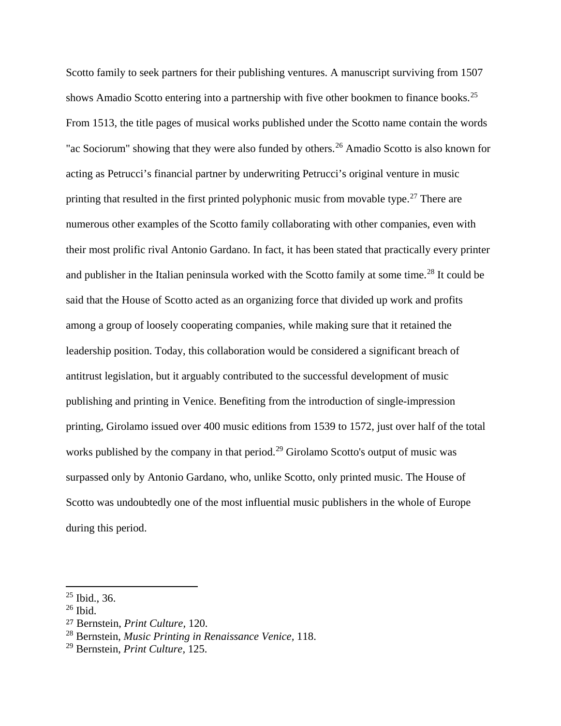Scotto family to seek partners for their publishing ventures. A manuscript surviving from 1507 shows Amadio Scotto entering into a partnership with five other bookmen to finance books.<sup>[25](#page-10-0)</sup> From 1513, the title pages of musical works published under the Scotto name contain the words "ac Sociorum" showing that they were also funded by others.<sup>[26](#page-10-1)</sup> Amadio Scotto is also known for acting as Petrucci's financial partner by underwriting Petrucci's original venture in music printing that resulted in the first printed polyphonic music from movable type.<sup>[27](#page-10-2)</sup> There are numerous other examples of the Scotto family collaborating with other companies, even with their most prolific rival Antonio Gardano. In fact, it has been stated that practically every printer and publisher in the Italian peninsula worked with the Scotto family at some time.<sup>[28](#page-10-3)</sup> It could be said that the House of Scotto acted as an organizing force that divided up work and profits among a group of loosely cooperating companies, while making sure that it retained the leadership position. Today, this collaboration would be considered a significant breach of antitrust legislation, but it arguably contributed to the successful development of music publishing and printing in Venice. Benefiting from the introduction of single-impression printing, Girolamo issued over 400 music editions from 1539 to 1572, just over half of the total works published by the company in that period.<sup>[29](#page-10-4)</sup> Girolamo Scotto's output of music was surpassed only by Antonio Gardano, who, unlike Scotto, only printed music. The House of Scotto was undoubtedly one of the most influential music publishers in the whole of Europe during this period.

 $25$  Ibid., 36.  $\overline{a}$ 

<span id="page-10-1"></span><span id="page-10-0"></span> $26$  Ibid.

<span id="page-10-2"></span><sup>27</sup> Bernstein, *Print Culture,* 120.

<span id="page-10-3"></span><sup>28</sup> Bernstein, *Music Printing in Renaissance Venice,* 118.

<span id="page-10-4"></span><sup>29</sup> Bernstein, *Print Culture,* 125.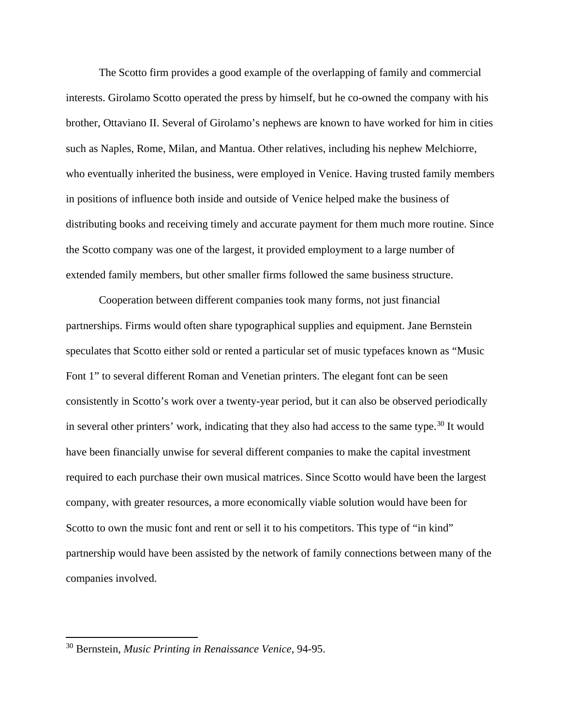The Scotto firm provides a good example of the overlapping of family and commercial interests. Girolamo Scotto operated the press by himself, but he co-owned the company with his brother, Ottaviano II. Several of Girolamo's nephews are known to have worked for him in cities such as Naples, Rome, Milan, and Mantua. Other relatives, including his nephew Melchiorre, who eventually inherited the business, were employed in Venice. Having trusted family members in positions of influence both inside and outside of Venice helped make the business of distributing books and receiving timely and accurate payment for them much more routine. Since the Scotto company was one of the largest, it provided employment to a large number of extended family members, but other smaller firms followed the same business structure.

Cooperation between different companies took many forms, not just financial partnerships. Firms would often share typographical supplies and equipment. Jane Bernstein speculates that Scotto either sold or rented a particular set of music typefaces known as "Music Font 1" to several different Roman and Venetian printers. The elegant font can be seen consistently in Scotto's work over a twenty-year period, but it can also be observed periodically in several other printers' work, indicating that they also had access to the same type.<sup>[30](#page-11-0)</sup> It would have been financially unwise for several different companies to make the capital investment required to each purchase their own musical matrices. Since Scotto would have been the largest company, with greater resources, a more economically viable solution would have been for Scotto to own the music font and rent or sell it to his competitors. This type of "in kind" partnership would have been assisted by the network of family connections between many of the companies involved.

<span id="page-11-0"></span><sup>30</sup> Bernstein, *Music Printing in Renaissance Venice,* 94-95.  $\overline{a}$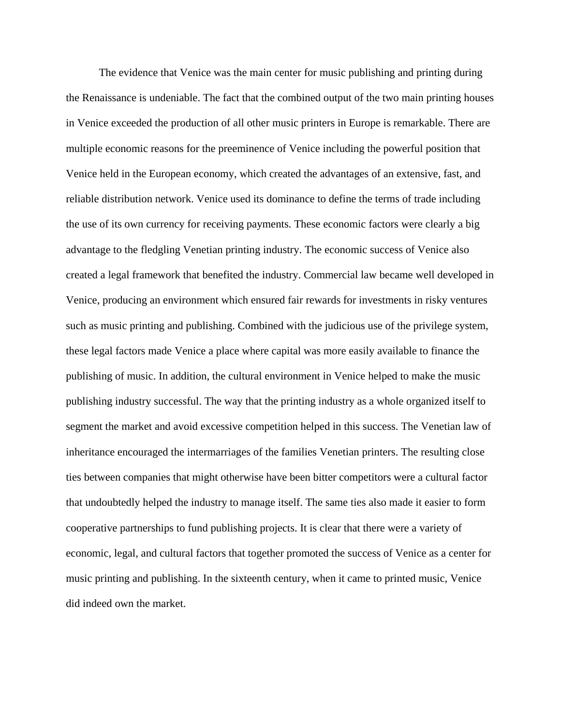The evidence that Venice was the main center for music publishing and printing during the Renaissance is undeniable. The fact that the combined output of the two main printing houses in Venice exceeded the production of all other music printers in Europe is remarkable. There are multiple economic reasons for the preeminence of Venice including the powerful position that Venice held in the European economy, which created the advantages of an extensive, fast, and reliable distribution network. Venice used its dominance to define the terms of trade including the use of its own currency for receiving payments. These economic factors were clearly a big advantage to the fledgling Venetian printing industry. The economic success of Venice also created a legal framework that benefited the industry. Commercial law became well developed in Venice, producing an environment which ensured fair rewards for investments in risky ventures such as music printing and publishing. Combined with the judicious use of the privilege system, these legal factors made Venice a place where capital was more easily available to finance the publishing of music. In addition, the cultural environment in Venice helped to make the music publishing industry successful. The way that the printing industry as a whole organized itself to segment the market and avoid excessive competition helped in this success. The Venetian law of inheritance encouraged the intermarriages of the families Venetian printers. The resulting close ties between companies that might otherwise have been bitter competitors were a cultural factor that undoubtedly helped the industry to manage itself. The same ties also made it easier to form cooperative partnerships to fund publishing projects. It is clear that there were a variety of economic, legal, and cultural factors that together promoted the success of Venice as a center for music printing and publishing. In the sixteenth century, when it came to printed music, Venice did indeed own the market.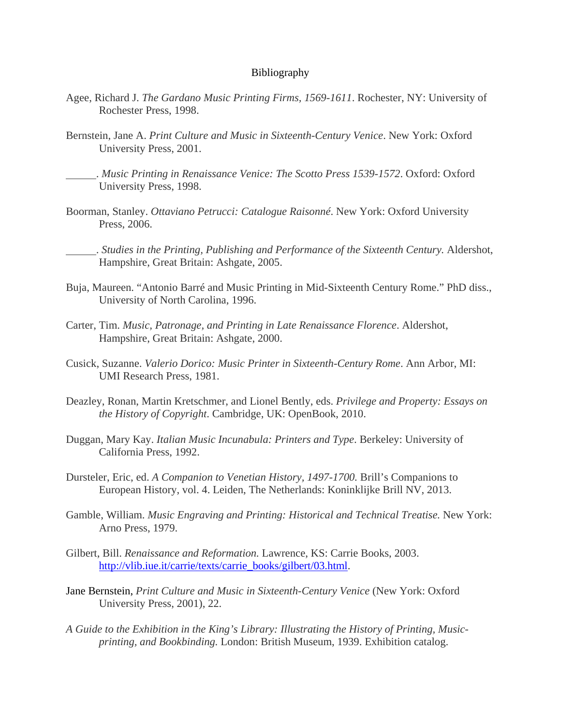## Bibliography

- Agee, Richard J. *The Gardano Music Printing Firms, 1569-1611*. Rochester, NY: University of Rochester Press, 1998.
- Bernstein, Jane A. *Print Culture and Music in Sixteenth-Century Venice*. New York: Oxford University Press, 2001.
	- . *Music Printing in Renaissance Venice: The Scotto Press 1539-1572*. Oxford: Oxford University Press, 1998.
- Boorman, Stanley. *Ottaviano Petrucci: Catalogue Raisonné*. New York: Oxford University Press, 2006.
	- . *Studies in the Printing, Publishing and Performance of the Sixteenth Century.* Aldershot, Hampshire, Great Britain: Ashgate, 2005.
- Buja, Maureen. "Antonio Barré and Music Printing in Mid-Sixteenth Century Rome." PhD diss., University of North Carolina, 1996.
- Carter, Tim. *Music, Patronage, and Printing in Late Renaissance Florence*. Aldershot, Hampshire, Great Britain: Ashgate, 2000.
- Cusick, Suzanne. *Valerio Dorico: Music Printer in Sixteenth-Century Rome*. Ann Arbor, MI: UMI Research Press, 1981.
- Deazley, Ronan, Martin Kretschmer, and Lionel Bently, eds. *Privilege and Property: Essays on the History of Copyright*. Cambridge, UK: OpenBook, 2010.
- Duggan, Mary Kay. *Italian Music Incunabula: Printers and Type*. Berkeley: University of California Press, 1992.
- Dursteler, Eric, ed. *A Companion to Venetian History, 1497-1700.* Brill's Companions to European History, vol. 4. Leiden, The Netherlands: Koninklijke Brill NV, 2013.
- Gamble, William. *Music Engraving and Printing: Historical and Technical Treatise.* New York: Arno Press, 1979.
- Gilbert, Bill. *Renaissance and Reformation.* Lawrence, KS: Carrie Books, 2003. [http://vlib.iue.it/carrie/texts/carrie\\_books/gilbert/03.html.](http://vlib.iue.it/carrie/texts/carrie_books/gilbert/03.html)
- Jane Bernstein, *Print Culture and Music in Sixteenth-Century Venice* (New York: Oxford University Press, 2001), 22.
- *A Guide to the Exhibition in the King's Library: Illustrating the History of Printing, Musicprinting, and Bookbinding.* London: British Museum, 1939. Exhibition catalog.